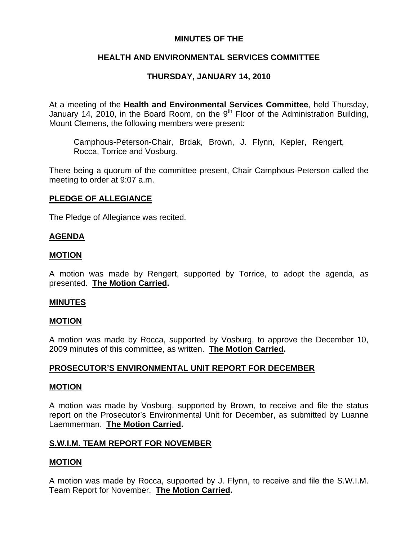### **MINUTES OF THE**

## **HEALTH AND ENVIRONMENTAL SERVICES COMMITTEE**

## **THURSDAY, JANUARY 14, 2010**

At a meeting of the **Health and Environmental Services Committee**, held Thursday, January 14, 2010, in the Board Room, on the  $9<sup>th</sup>$  Floor of the Administration Building, Mount Clemens, the following members were present:

Camphous-Peterson-Chair, Brdak, Brown, J. Flynn, Kepler, Rengert, Rocca, Torrice and Vosburg.

There being a quorum of the committee present, Chair Camphous-Peterson called the meeting to order at 9:07 a.m.

### **PLEDGE OF ALLEGIANCE**

The Pledge of Allegiance was recited.

### **AGENDA**

#### **MOTION**

A motion was made by Rengert, supported by Torrice, to adopt the agenda, as presented. **The Motion Carried.** 

#### **MINUTES**

#### **MOTION**

A motion was made by Rocca, supported by Vosburg, to approve the December 10, 2009 minutes of this committee, as written. **The Motion Carried.** 

### **PROSECUTOR'S ENVIRONMENTAL UNIT REPORT FOR DECEMBER**

#### **MOTION**

A motion was made by Vosburg, supported by Brown, to receive and file the status report on the Prosecutor's Environmental Unit for December, as submitted by Luanne Laemmerman. **The Motion Carried.** 

#### **S.W.I.M. TEAM REPORT FOR NOVEMBER**

#### **MOTION**

A motion was made by Rocca, supported by J. Flynn, to receive and file the S.W.I.M. Team Report for November. **The Motion Carried.**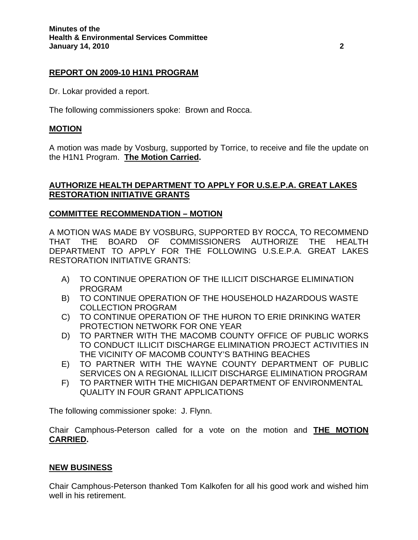### **REPORT ON 2009-10 H1N1 PROGRAM**

Dr. Lokar provided a report.

The following commissioners spoke: Brown and Rocca.

### **MOTION**

A motion was made by Vosburg, supported by Torrice, to receive and file the update on the H1N1 Program. **The Motion Carried.** 

### **AUTHORIZE HEALTH DEPARTMENT TO APPLY FOR U.S.E.P.A. GREAT LAKES RESTORATION INITIATIVE GRANTS**

### **COMMITTEE RECOMMENDATION – MOTION**

A MOTION WAS MADE BY VOSBURG, SUPPORTED BY ROCCA, TO RECOMMEND THAT THE BOARD OF COMMISSIONERS AUTHORIZE THE HEALTH DEPARTMENT TO APPLY FOR THE FOLLOWING U.S.E.P.A. GREAT LAKES RESTORATION INITIATIVE GRANTS:

- A) TO CONTINUE OPERATION OF THE ILLICIT DISCHARGE ELIMINATION PROGRAM
- B) TO CONTINUE OPERATION OF THE HOUSEHOLD HAZARDOUS WASTE COLLECTION PROGRAM
- C) TO CONTINUE OPERATION OF THE HURON TO ERIE DRINKING WATER PROTECTION NETWORK FOR ONE YEAR
- D) TO PARTNER WITH THE MACOMB COUNTY OFFICE OF PUBLIC WORKS TO CONDUCT ILLICIT DISCHARGE ELIMINATION PROJECT ACTIVITIES IN THE VICINITY OF MACOMB COUNTY'S BATHING BEACHES
- E) TO PARTNER WITH THE WAYNE COUNTY DEPARTMENT OF PUBLIC SERVICES ON A REGIONAL ILLICIT DISCHARGE ELIMINATION PROGRAM
- F) TO PARTNER WITH THE MICHIGAN DEPARTMENT OF ENVIRONMENTAL QUALITY IN FOUR GRANT APPLICATIONS

The following commissioner spoke: J. Flynn.

Chair Camphous-Peterson called for a vote on the motion and **THE MOTION CARRIED.** 

#### **NEW BUSINESS**

Chair Camphous-Peterson thanked Tom Kalkofen for all his good work and wished him well in his retirement.